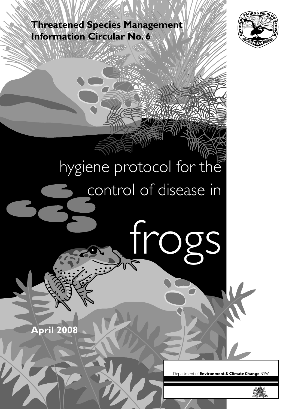**Threatened Species Management Information Circular No. 6**



# hygiene protocol for the control of disease in

tro

**April 2008**

Department of Environment & Climate Change NSW

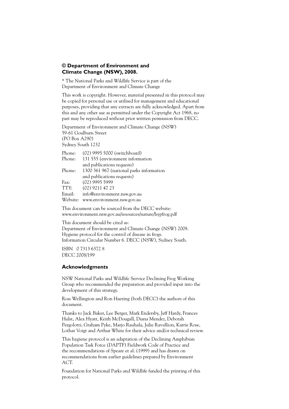#### **© Department of Environment and Climate Change (NSW), 2008.**

\* The National Parks and Wildlife Service is part of the Department of Environment and Climate Change

This work is copyright. However, material presented in this protocol may be copied for personal use or utilised for management and educational purposes, providing that any extracts are fully acknowledged. Apart from this and any other use as permitted under the Copyright Act 1968, no part may be reproduced without prior written permission from DECC.

Department of Environment and Climate Change (NSW) 59-61 Goulburn Street (PO Box A290) Sydney South 1232

| Phone:   | (02) 9995 5000 (switchboard)             |
|----------|------------------------------------------|
| Phone:   | 131 555 (environment information         |
|          | and publications requests)               |
| Phone:   | 1300 361 967 (national parks information |
|          | and publications requests)               |
| Fax:     | $(02)$ 9995 5999                         |
| TTY:     | (02) 9211 47 23                          |
| Email:   | info@environment.nsw.gov.au              |
| Website: | www.environment.nsw.gov.au               |
|          |                                          |

This document can be sourced from the DECC website: www.environment.nsw.gov.au/resources/nature/hypfrog.pdf

This document should be cited as: Department of Environment and Climate Change (NSW) 2008. Hygiene protocol for the control of disease in frogs. Information Circular Number 6. DECC (NSW), Sydney South.

ISBN 0 7313 6372 8 DECC 2008/199

#### **Acknowledgments**

NSW National Parks and Wildlife Service Declining Frog Working Group who recommended the preparation and provided input into the development of this strategy.

Ross Wellington and Ron Haering (both DECC) the authors of this document.

Thanks to Jack Baker, Lee Berger, Mark Endersby, Jeff Hardy, Frances Hulst, Alex Hyatt, Keith McDougall, Diana Mendez, Deborah Pergolotti, Graham Pyke, Marjo Rauhala, Julie Ravallion, Karrie Rose, Lothar Voigt and Arthur White for their advice and/or technical review.

This hygiene protocol is an adaptation of the Declining Amphibian Population Task Force (DAPTF) Fieldwork Code of Practice and the recommendations of Speare et al. (1999) and has drawn on recommendations from earlier guidelines prepared by Environment ACT.

Foundation for National Parks and Wildlife funded the printing of this protocol.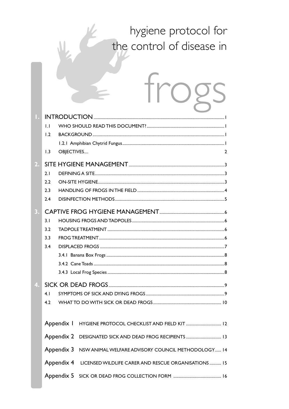### hygiene protocol for the control of disease in

| $\mathbf{L}$<br>1.2<br>OBJECTIVES<br>1.3                      | 2 |
|---------------------------------------------------------------|---|
| 2.1<br>2.2<br>2.3<br>2.4                                      |   |
| 3.1<br>3.2<br>3.3<br>3.4                                      |   |
| 4. I<br>4.2                                                   |   |
| Appendix 3 NSW ANIMAL WELFARE ADVISORY COUNCIL METHODOLOGY 14 |   |

Appendix 4 LICENSED WILDLIFE CARER AND RESCUE ORGANISATIONS ........... 15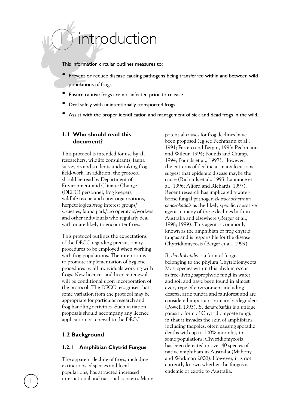# introduction

This information circular outlines measures to:

- Prevent or reduce disease causing pathogens being transferred within and between wild populations of frogs.
- Ensure captive frogs are not infected prior to release.
- Deal safely with unintentionally transported frogs.
- Assist with the proper identification and management of sick and dead frogs in the wild.

#### **1.1 Who should read this document?**

This protocol is intended for use by all researchers, wildlife consultants, fauna surveyors and students undertaking frog field-work. In addition, the protocol should be read by Department of Environment and Climate Change (DECC) personnel, frog keepers, wildlife rescue and carer organisations, herpetological/frog interest groups/ societies, fauna park/zoo operators/workers and other individuals who regularly deal with or are likely to encounter frogs.

This protocol outlines the expectations of the DECC regarding precautionary procedures to be employed when working with frog populations. The intention is to promote implementation of hygiene procedures by all individuals working with frogs. New licences and licence renewals will be conditional upon incorporation of the protocol. The DECC recognises that some variation from the protocol may be appropriate for particular research and frog handling activities. Such variation proposals should accompany any licence application or renewal to the DECC.

#### **1.2 Background**

#### **1.2.1 Amphibian Chytrid Fungus**

The apparent decline of frogs, including extinctions of species and local populations, has attracted increased international and national concern. Many

potential causes for frog declines have been proposed (eg see Pechmann et al., 1991; Ferrero and Bergin, 1993; Pechmann and Wilbur, 1994; Pounds and Crump, 1994; Pounds et al., 1997). However, the patterns of decline at many locations suggest that epidemic disease maybe the cause (Richards et al., 1993; Laurance et al., 1996; Alford and Richards, 1997). Recent research has implicated a waterborne fungal pathogen *Batrachochytrium dendrobatidis* as the likely specific causative agent in many of these declines both in Australia and elsewhere (Berger et al., 1998; 1999). This agent is commonly known as the amphibian or frog chytrid fungus and is responsible for the disease Chytridiomycosis (Berger et al., 1999).

*B. dendrobatidis* is a form of fungus belonging to the phylum Chytridiomycota. Most species within this phylum occur as free-living saprophytic fungi in water and soil and have been found in almost every type of environment including deserts, artic tundra and rainforest and are considered important primary biodegraders (Powell 1993). *B. dendrobatidis* is a unique parasitic form of Chytridiomycete fungi, in that it invades the skin of amphibians, including tadpoles, often causing sporadic deaths with up to 100% mortality in some populations. Chytridiomycosis has been detected in over 40 species of native amphibian in Australia (Mahony and Workman 2000). However, it is not currently known whether the fungus is endemic or exotic to Australia.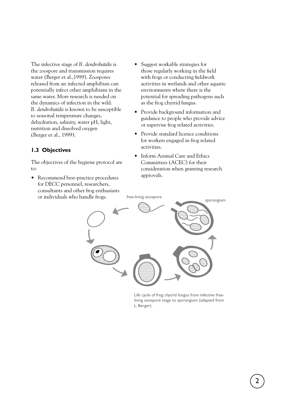The infective stage of *B. dendrobatidis* is the zoospore and transmission requires water (Berger et al.,1999). Zoospores released from an infected amphibian can potentially infect other amphibians in the same water. More research is needed on the dynamics of infection in the wild. *B. dendrobatidis* is known to be susceptible to seasonal temperature changes, dehydration, salinity, water pH, light, nutrition and dissolved oxygen (Berger et al., 1999).

#### **1.3 Objectives**

The objectives of the hygiene protocol are to:

• Recommend best-practice procedures for DECC personnel, researchers, consultants and other frog enthusiasts or individuals who handle frogs.

- Suggest workable strategies for those regularly working in the field with frogs or conducting fieldwork activities in wetlands and other aquatic environments where there is the potential for spreading pathogens such as the frog chytrid fungus.
- Provide background information and guidance to people who provide advice or supervise frog related activities.
- Provide standard licence conditions for workers engaged in frog related activities.
- Inform Animal Care and Ethics Committees (ACEC) for their consideration when granting research approvals.



Life cycle of frog chytrid fungus from infective freeliving zoospore stage to sporangium (adapted from L. Berger).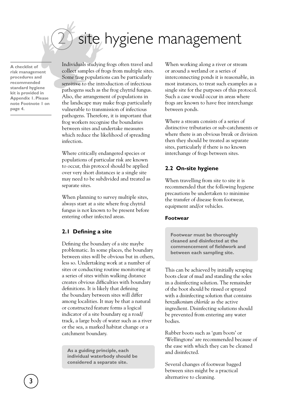# site hygiene management

**A checklist of risk management procedures and recommended standard hygiene kit is provided in Appendix 1. Please note Footnote 1 on page 4.** 

Individuals studying frogs often travel and collect samples of frogs from multiple sites. Some frog populations can be particularly sensitive to the introduction of infectious pathogens such as the frog chytrid fungus. Also, the arrangement of populations in the landscape may make frogs particularly vulnerable to transmission of infectious pathogens. Therefore, it is important that frog workers recognise the boundaries between sites and undertake measures which reduce the likelihood of spreading infection.

Where critically endangered species or populations of particular risk are known to occur, this protocol should be applied over very short distances ie a single site may need to be subdivided and treated as separate sites.

When planning to survey multiple sites, always start at a site where frog chytrid fungus is not known to be present before entering other infected areas.

#### **2.1 Defining a site**

Defining the boundary of a site maybe problematic. In some places, the boundary between sites will be obvious but in others, less so. Undertaking work at a number of sites or conducting routine monitoring at a series of sites within walking distance creates obvious difficulties with boundary definitions. It is likely that defining the boundary between sites will differ among localities. It may be that a natural or constructed feature forms a logical indicator of a site boundary eg a road/ track, a large body of water such as a river or the sea, a marked habitat change or a catchment boundary.

**As a guiding principle, each individual waterbody should be considered a separate site.**

When working along a river or stream or around a wetland or a series of interconnecting ponds it is reasonable, in most instances, to treat such examples as a single site for the purposes of this protocol. Such a case would occur in areas where frogs are known to have free interchange between ponds.

Where a stream consists of a series of distinctive tributaries or sub-catchments or where there is an obvious break or division then they should be treated as separate sites, particularly if there is no known interchange of frogs between sites.

#### **2.2 On-site hygiene**

When travelling from site to site it is recommended that the following hygiene precautions be undertaken to minimise the transfer of disease from footwear, equipment and/or vehicles.

#### **Footwear**

**Footwear must be thoroughly cleaned and disinfected at the commencement of fieldwork and between each sampling site.** 

This can be achieved by initially scraping boots clear of mud and standing the soles in a disinfecting solution. The remainder of the boot should be rinsed or sprayed with a disinfecting solution that contains *benzalkonium chloride* as the active ingredient. Disinfecting solutions should be prevented from entering any water bodies.

Rubber boots such as 'gum boots' or 'Wellingtons' are recommended because of the ease with which they can be cleaned and disinfected.

Several changes of footwear bagged between sites might be a practical alternative to cleaning.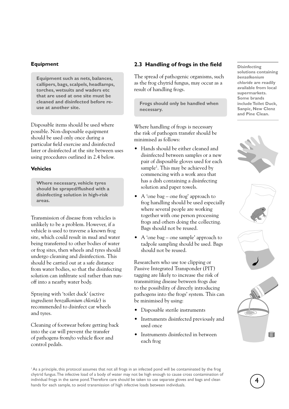#### **Equipment**

**Equipment such as nets, balances, callipers, bags, scalpels, headlamps, torches, wetsuits and waders etc that are used at one site must be cleaned and disinfected before reuse at another site.** 

Disposable items should be used where possible. Non-disposable equipment should be used only once during a particular field exercise and disinfected later or disinfected at the site between uses using procedures outlined in 2.4 below.

#### **Vehicles**

**Where necessary, vehicle tyres should be sprayed/flushed with a disinfecting solution in high-risk areas.** 

Transmission of disease from vehicles is unlikely to be a problem. However, if a vehicle is used to traverse a known frog site, which could result in mud and water being transferred to other bodies of water or frog sites, then wheels and tyres should undergo cleaning and disinfection. This should be carried out at a safe distance from water bodies, so that the disinfecting solution can infiltrate soil rather than runoff into a nearby water body.

Spraying with 'toilet duck' (active ingredient *benzalkonium chloride*) is recommended to disinfect car wheels and tyres.

Cleaning of footwear before getting back into the car will prevent the transfer of pathogens from/to vehicle floor and control pedals.

#### **2.3 Handling of frogs in the field**

The spread of pathogenic organisms, such as the frog chytrid fungus, may occur as a result of handling frogs.

**Frogs should only be handled when necessary.** 

Where handling of frogs is necessary the risk of pathogen transfer should be minimised as follows:

- Hands should be either cleaned and disinfected between samples or a new pair of disposable gloves used for each sample<sup>1</sup>. This may be achieved by commencing with a work area that has a dish containing a disinfecting solution and paper towels.
- A 'one bag one frog' approach to frog handling should be used especially where several people are working together with one person processing frogs and others doing the collecting. Bags should not be reused.
- A 'one bag one sample' approach to tadpole sampling should be used. Bags should not be reused.

Researchers who use toe clipping or Passive Integrated Transponder (PIT) tagging are likely to increase the risk of transmitting disease between frogs due to the possibility of directly introducing pathogens into the frogs' system. This can be minimised by using:

- Disposable sterile instruments
- Instruments disinfected previously and used once
- Instruments disinfected in between each frog

**Disinfecting solutions containing**  *benzalkonium chloride* **are readily available from local supermarkets. Some brands include Toilet Duck, Sanpic, New Clenz and Pine Clean.** 







<sup>1</sup> As a principle, this protocol assumes that not all frogs in an infected pond will be contaminated by the frog chytrid fungus. The infective load of a body of water may not be high enough to cause cross contamination of individual frogs in the same pond. Therefore care should be taken to use separate gloves and bags and clean hands for each sample, to avoid transmission of high infective loads between individuals.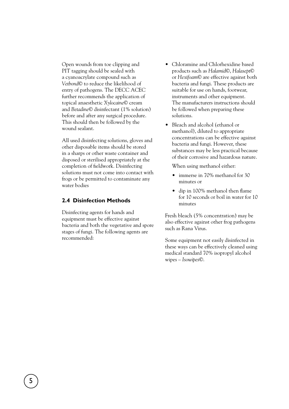Open wounds from toe clipping and PIT tagging should be sealed with a cyanoacrylate compound such as *Vetbond*© to reduce the likelihood of entry of pathogens. The DECC ACEC further recommends the application of topical anaesthetic *Xylocaine*© cream and *Betadine*© disinfectant (1% solution) before and after any surgical procedure. This should then be followed by the wound sealant.

All used disinfecting solutions, gloves and other disposable items should be stored in a sharps or other waste container and disposed or sterilised appropriately at the completion of fieldwork. Disinfecting solutions must not come into contact with frogs or be permitted to contaminate any water bodies

#### **2.4 Disinfection Methods**

Disinfecting agents for hands and equipment must be effective against bacteria and both the vegetative and spore stages of fungi. The following agents are recommended:

- Chloramine and Chlorhexidine based products such as *Halamid*©, *Halasept*© or *Hexifoam*© are effective against both bacteria and fungi. These products are suitable for use on hands, footwear, instruments and other equipment. The manufacturers instructions should be followed when preparing these solutions.
- Bleach and alcohol (ethanol or methanol), diluted to appropriate concentrations can be effective against bacteria and fungi. However, these substances may be less practical because of their corrosive and hazardous nature.

When using methanol either:

- immerse in 70% methanol for 30 minutes or
- dip in 100% methanol then flame for 10 seconds or boil in water for 10 minutes

Fresh bleach (5% concentration) may be also effective against other frog pathogens such as Rana Virus.

Some equipment not easily disinfected in these ways can be effectively cleaned using medical standard 70% isopropyl alcohol wipes – *Isowipes*©.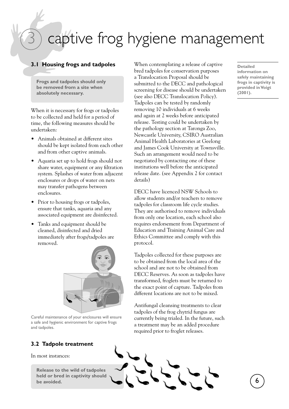## captive frog hygiene management

#### **3.1 Housing frogs and tadpoles**

**Frogs and tadpoles should only be removed from a site when absolutely necessary.** 

When it is necessary for frogs or tadpoles to be collected and held for a period of time, the following measures should be undertaken:

- Animals obtained at different sites should be kept isolated from each other and from other captive animals.
- Aquaria set up to hold frogs should not share water, equipment or any filtration system. Splashes of water from adjacent enclosures or drops of water on nets may transfer pathogens between enclosures.
- Prior to housing frogs or tadpoles, ensure that tanks, aquaria and any associated equipment are disinfected.
- Tanks and equipment should be cleaned, disinfected and dried immediately after frogs/tadpoles are removed.



Careful maintenance of your enclosures will ensure a safe and hygienic environment for captive frogs and tadpoles.

#### **3.2 Tadpole treatment**

In most instances:

**be avoided.** 

When contemplating a release of captive bred tadpoles for conservation purposes a Translocation Proposal should be submitted to the DECC and pathological screening for disease should be undertaken (see also DECC Translocation Policy). Tadpoles can be tested by randomly removing 10 individuals at 6 weeks and again at 2 weeks before anticipated release. Testing could be undertaken by the pathology section at Taronga Zoo, Newcastle University, CSIRO Australian Animal Health Laboratories at Geelong and James Cook University at Townsville. Such an arrangement would need to be negotiated by contacting one of these institutions well before the anticipated release date. (see Appendix 2 for contact details)

DECC have licenced NSW Schools to allow students and/or teachers to remove tadpoles for classroom life cycle studies. They are authorised to remove individuals from only one location, each school also requires endorsement from Department of Education and Training Animal Care and Ethics Committee and comply with this protocol.

Tadpoles collected for these purposes are to be obtained from the local area of the school and are not to be obtained from DECC Reserves. As soon as tadpoles have transformed, froglets must be returned to the exact point of capture. Tadpoles from different locations are not to be mixed.

Antifungal cleansing treatments to clear tadpoles of the frog chytrid fungus are currently being trialed. In the future, such a treatment may be an added procedure required prior to froglet releases.



**Detailed information on safely maintaining frogs in captivity is provided in Voigt (2001).**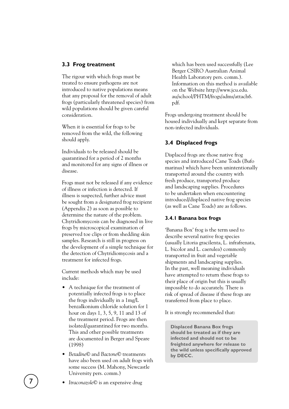#### **3.3 Frog treatment**

The rigour with which frogs must be treated to ensure pathogens are not introduced to native populations means that any proposal for the removal of adult frogs (particularly threatened species) from wild populations should be given careful consideration.

When it is essential for frogs to be removed from the wild, the following should apply.

Individuals to be released should be quarantined for a period of 2 months and monitored for any signs of illness or disease.

Frogs must not be released if any evidence of illness or infection is detected. If illness is suspected, further advice must be sought from a designated frog recipient (Appendix 2) as soon as possible to determine the nature of the problem. Chytridiomycosis can be diagnosed in live frogs by microscopical examination of preserved toe clips or from shedding skin samples. Research is still in progress on the development of a simple technique for the detection of Chytridiomycosis and a treatment for infected frogs.

Current methods which may be used include:

- A technique for the treatment of potentially infected frogs is to place the frogs individually in a 1mg/L benzalkonium chloride solution for 1 hour on days 1, 3, 5, 9, 11 and 13 of the treatment period. Frogs are then isolated/quarantined for two months. This and other possible treatments are documented in Berger and Speare (1998)
- *Betadine*© and *Bactone*© treatments have also been used on adult frogs with some success (M. Mahony, Newcastle University pers. comm.)

which has been used successfully (Lee Berger CSIRO Australian Animal Health Laboratory pers. comm.). Information on this method is available on the Website http://www.jcu.edu. au/school/PHTM/frogs/adms/attach6. pdf.

Frogs undergoing treatment should be housed individually and kept separate from non-infected individuals.

#### **3.4 Displaced frogs**

Displaced frogs are those native frog species and introduced Cane Toads (Bufo marinus) which have been unintentionally transported around the country with fresh produce, transported produce and landscaping supplies. Procedures to be undertaken when encountering introduced/displaced native frog species (as well as Cane Toads) are as follows.

#### **3.4.1 Banana box frogs**

'Banana Box' frog is the term used to describe several native frog species (usually Litoria gracilenta, L. infrafrenata, L. bicolor and L. caerulea) commonly transported in fruit and vegetable shipments and landscaping supplies. In the past, well meaning individuals have attempted to return these frogs to their place of origin but this is usually impossible to do accurately. There is risk of spread of disease if these frogs are transferred from place to place.

It is strongly recommended that:

**Displaced Banana Box frogs should be treated as if they are infected and should not to be freighted anywhere for release to the wild unless specifically approved by DECC.** 

• *Itraconazole*© is an expensive drug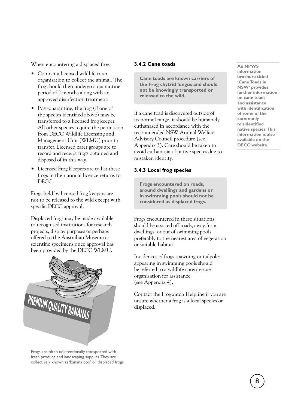When encountering a displaced frog:

- Contact a licensed wildlife carer organisation to collect the animal. The frog should then undergo a quarantine period of 2 months along with an approved disinfection treatment.
- Post-quarantine, the frog (if one of the species identified above) may be transferred to a licensed frog keeper. All other species require the permission from DECC Wildlife Licensing and Management Unit (WLMU) prior to transfer. Licensed carer groups are to record and receipt frogs obtained and disposed of in this way.
- Licensed Frog Keepers are to list these frogs in their annual licence returns to DECC.

Frogs held by licensed frog keepers are not to be released to the wild except with specific DECC approval.

Displaced frogs may be made available to recognised institutions for research projects, display purposes or perhaps offered to the Australian Museum as scientific specimens once approval has been provided by the DECC WLMU.



Frogs are often unintentionally transported with fresh produce and landscaping supplies. They are collectively known as 'banana box' or displaced frogs.

#### **3.4.2 Cane toads**

**Cane toads are known carriers of the Frog chytrid fungus and should not be knowingly transported or released to the wild.** 

If a cane toad is discovered outside of its normal range, it should be humanely euthanased in accordance with the recommended NSW Animal Welfare Advisory Council procedure (see Appendix 3). Care should be taken to avoid euthanasia of native species due to mistaken identity.

#### **3.4.3 Local frog species**

**Frogs encountered on roads, around dwellings and gardens or in swimming pools should not be considered as displaced frogs.** 

Frogs encountered in these situations should be assisted off roads, away from dwellings, or out of swimming pools preferably to the nearest area of vegetation or suitable habitat.

Incidences of frogs spawning or tadpoles appearing in swimming pools should be referred to a wildlife carer/rescue organisation for assistance (see Appendix 4).

Contact the Frogwatch Helpline if you are unsure whether a frog is a local species or displaced.

#### **An NPWS**

**information brochure titled 'Cane Toads in NSW' provides further information on cane toads and assistance with identification of some of the commonly misidentified native species. This information is also available on the DECC website.**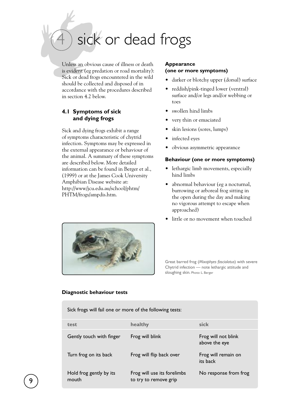sick or dead frogs

Unless an obvious cause of illness or death is evident (eg predation or road mortality): Sick or dead frogs encountered in the wild should be collected and disposed of in accordance with the procedures described in section 4.2 below.

#### **4.1 Symptoms of sick and dying frogs**

Sick and dying frogs exhibit a range of symptoms characteristic of chytrid infection. Symptoms may be expressed in the external appearance or behaviour of the animal. A summary of these symptoms are described below. More detailed information can be found in Berger et al., (1999) or at the James Cook University Amphibian Disease website at: http://www/jcu.edu.au/school/phtm/ PHTM/frogs/ampdis.htm.

#### **Appearance (one or more symptoms)**

- darker or blotchy upper (dorsal) surface
- reddish/pink-tinged lower (ventral) surface and/or legs and/or webbing or toes
- swollen hind limbs
- very thin or emaciated
- skin lesions (sores, lumps)
- infected eyes
- obvious asymmetric appearance

#### **Behaviour (one or more symptoms)**

- lethargic limb movements, especially hind limbs
- abnormal behaviour (eg a nocturnal, burrowing or arboreal frog sitting in the open during the day and making no vigorous attempt to escape when approached)
- little or no movement when touched



Great barred frog (*Mixophyes fasciolatus*) with severe Chytrid infection — note lethargic attitude and sloughing skin. Photo: L. Berger

#### **Diagnostic behaviour tests**

Sick frogs will fail one or more of the following tests:

| test                             | healthy                                              | sick                                 |
|----------------------------------|------------------------------------------------------|--------------------------------------|
| Gently touch with finger         | Frog will blink                                      | Frog will not blink<br>above the eye |
| Turn frog on its back            | Frog will flip back over                             | Frog will remain on<br>its back      |
| Hold frog gently by its<br>mouth | Frog will use its forelimbs<br>to try to remove grip | No response from frog                |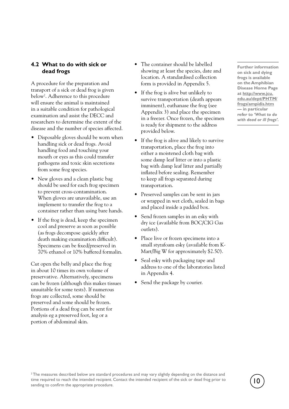#### **4.2 What to do with sick or dead frogs**

A procedure for the preparation and transport of a sick or dead frog is given below2 . Adherence to this procedure will ensure the animal is maintained in a suitable condition for pathological examination and assist the DECC and researchers to determine the extent of the disease and the number of species affected.

- Disposable gloves should be worn when handling sick or dead frogs. Avoid handling food and touching your mouth or eyes as this could transfer pathogens and toxic skin secretions from some frog species.
- New gloves and a clean plastic bag should be used for each frog specimen to prevent cross-contamination. When gloves are unavailable, use an implement to transfer the frog to a container rather than using bare hands.
- If the frog is dead, keep the specimen cool and preserve as soon as possible (as frogs decompose quickly after death making examination difficult). Specimens can be fixed/preserved in 70% ethanol or 10% buffered formalin.

Cut open the belly and place the frog in about 10 times its own volume of preservative. Alternatively, specimens can be frozen (although this makes tissues unsuitable for some tests). If numerous frogs are collected, some should be preserved and some should be frozen. Portions of a dead frog can be sent for analysis eg a preserved foot, leg or a portion of abdominal skin.

- The container should be labelled showing at least the species, date and location. A standardised collection form is provided in Appendix 5.
- If the frog is alive but unlikely to survive transportation (death appears imminent), euthanase the frog (see Appendix 3) and place the specimen in a freezer. Once frozen, the specimen is ready for shipment to the address provided below.
- If the frog is alive and likely to survive transportation, place the frog into either a moistened cloth bag with some damp leaf litter or into a plastic bag with damp leaf litter and partially inflated before sealing. Remember to keep all frogs separated during transportation.
- Preserved samples can be sent in jars or wrapped in wet cloth, sealed in bags and placed inside a padded box.
- Send frozen samples in an esky with dry ice (available from BOC/CIG Gas outlets).
- Place live or frozen specimens into a small styrafoam esky (available from K-Mart/Big W for approximately \$2.50).
- Seal esky with packaging tape and address to one of the laboratories listed in Appendix 4.
- Send the package by courier.

**Further information on sick and dying frogs is available on the Amphibian Disease Home Page at http://www.jcu. edu.au/dept/PHTM/ frogs/ampidis.htm — in particular refer to** *'What to do with dead or ill frogs'.* 

 $^2$ The measures described below are standard procedures and may vary slightly depending on the distance and time required to reach the intended recipient. Contact the intended recipient of the sick or dead frog prior to sending to confirm the appropriate procedure.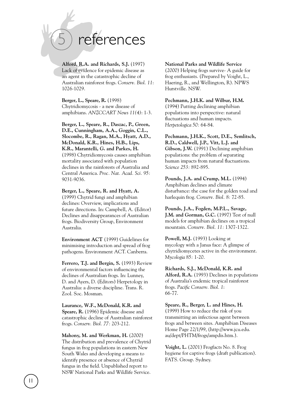# references

**Alford, R.A. and Richards, S.J.** (1997) Lack of evidence for epidemic disease as an agent in the catastrophic decline of Australian rainforest frogs. *Conserv. Biol. 11*: 1026-1029.

**Berger, L., Speare, R.** (1998) Chytridiomycosis - a new disease of amphibians. *ANZCCART News 11(4)*: 1-3.

**Berger, L., Speare, R., Daszac, P., Green, D.E., Cunningham, A.A., Goggin, C.L., Slocombe, R., Ragan, M.A., Hyatt, A.D., McDonald, K.R., Hines, H.B., Lips, K.R., Marantelli, G. and Parkes, H.**  (1998) Chytridiomycosis causes amphibian mortality associated with population declines in the rainforests of Australia and Central America. *Proc. Nat. Acad. Sci. 95:* 9031-9036.

**Berger, L., Speare, R. and Hyatt, A.** (1999) Chytrid fungi and amphibian declines: Overview, implications and future directions. In: Campbell, A. (Editor) Declines and disappearances of Australian frogs. Biodiversity Group, Environment Australia.

**Environment ACT** (1999) Guidelines for minimising introduction and spread of frog pathogens. Environment ACT. Canberra.

**Ferrero, T.J. and Bergin, S.** (1993) Review of environmental factors influencing the declines of Australian frogs. In: Lunney, D. and Ayers, D. (Editors) Herpetology in Australia: a diverse discipline. Trans. R. Zool. Soc. Mosman.

**Laurance, W.F., McDonald, K.R. and Speare, R.** (1996) Epidemic disease and catastrophic decline of Australian rainforest frogs. *Conserv. Biol. 77:* 203-212.

**Mahony, M. and Werkman, H.** (2000) The distribution and prevalence of Chytrid fungus in frog populations in eastern New South Wales and developing a means to identify presence or absence of Chytrid fungus in the field. Unpublished report to NSW National Parks and Wildlife Service.

11

**National Parks and Wildlife Service**

(2000) Helping frogs survive- A guide for frog enthusiasts. (Prepared by Voight, L., Haering, R., and Wellington, R). NPWS Hurstville. NSW.

**Pechmann, J.H.K. and Wilbur, H.M.** (1994) Putting declining amphibian populations into perspective: natural fluctuations and human impacts. *Herpetologica 50:* 64-84.

**Pechmann, J.H.K., Scott, D.E., Semlitsch, R.D., Caldwell, J.P., Vitt, L.J. and Gibson, J.W.** (1991) Declining amphibian populations: the problem of separating human impacts from natural fluctuations. *Science 253:* 892-895.

**Pounds, J.A. and Crump, M.L.** (1994) Amphibian declines and climate disturbance: the case for the golden toad and harlequin frog. *Conserv. Biol. 8:* 72-85.

**Pounds, J.A., Fogden, M.P.L., Savage, J.M. and Gorman, G.C.** (1997) Test of null models for amphibian declines on a tropical mountain. *Conserv. Biol. 11:* 1307-1322.

Powell, M.J. (1993) Looking at mycology with a Janus face: A glimpse of chytridiomycetes active in the environment. *Mycologia 85:* 1-20.

**Richards, S.J., McDonald, K.R. and Alford, R.A.** (1993) Declines in populations of Australia's endemic tropical rainforest frogs. *Pacific Conserv. Biol. 1*: 66-77.

**Speare, R., Berger, L. and Hines, H.** (1999) How to reduce the risk of you transmitting an infectious agent between frogs and between sites. Amphibian Diseases Home Page 22/1/99, (http://www.jcu.edu. au/dept/PHTM/frogs/ampdis.htm.).

**Voight, L.** (2001) Frogfacts No. 8. Frog hygiene for captive frogs (draft publication). FATS. Group. Sydney.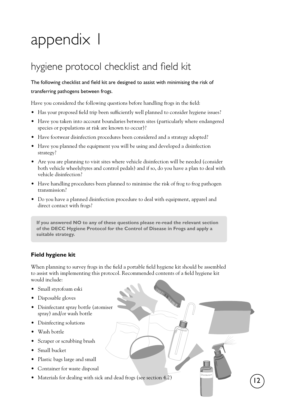# appendix I

### hygiene protocol checklist and field kit

#### The following checklist and field kit are designed to assist with minimising the risk of transferring pathogens between frogs.

Have you considered the following questions before handling frogs in the field:

- Has your proposed field trip been sufficiently well planned to consider hygiene issues?
- Have you taken into account boundaries between sites (particularly where endangered species or populations at risk are known to occur)?
- Have footwear disinfection procedures been considered and a strategy adopted?
- Have you planned the equipment you will be using and developed a disinfection strategy?
- Are you are planning to visit sites where vehicle disinfection will be needed (consider both vehicle wheels/tyres and control pedals) and if so, do you have a plan to deal with vehicle disinfection?
- Have handling procedures been planned to minimise the risk of frog to frog pathogen transmission?
- Do you have a planned disinfection procedure to deal with equipment, apparel and direct contact with frogs?

**If you answered NO to any of these questions please re-read the relevant section of the DECC Hygiene Protocol for the Control of Disease in Frogs and apply a suitable strategy.** 

#### **Field hygiene kit**

When planning to survey frogs in the field a portable field hygiene kit should be assembled to assist with implementing this protocol. Recommended contents of a field hygiene kit would include:

- Small styrofoam eski
- Disposable gloves
- Disinfectant spray bottle (atomiser spray) and/or wash bottle
- Disinfecting solutions
- Wash bottle
- Scraper or scrubbing brush
- Small bucket
- Plastic bags large and small
- Container for waste disposal
- Materials for dealing with sick and dead frogs (see section 4.2)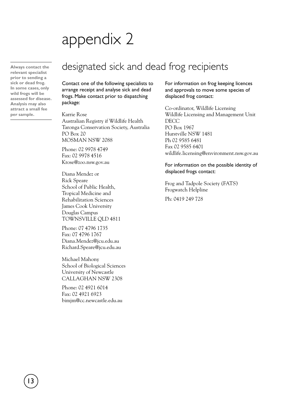### appendix 2

**prior to sending a sick or dead frog. In some cases, only wild frogs will be assessed for disease. Analysis may also attract a small fee per sample.** 

13

### **Always contact the** designated sick and dead frog recipients **relevant specialist**

Contact one of the following specialists to arrange receipt and analyse sick and dead frogs. Make contact prior to dispatching package:

Karrie Rose

Australian Registry if Wildlife Health Taronga Conservation Society, Australia PO Box 20 MOSMAN NSW 2088

Phone: 02 9978 4749 Fax: 02 9978 4516 Krose@zoo.nsw.gov.au

Diana Mendez or Rick Speare School of Public Health, Tropical Medicine and Rehabilitation Sciences James Cook University Douglas Campus TOWNSVILLE QLD 4811

Phone: 07 4796 1735 Fax: 07 4796 1767 Diana.Mendez@jcu.edu.au Richard.Speare@jcu.edu.au

Michael Mahony School of Biological Sciences University of Newcastle CALLAGHAN NSW 2308

Phone: 02 4921 6014 Fax: 02 4921 6923 bimjm@cc.newcastle.edu.au

For information on frog keeping licences and approvals to move some species of displaced frog contact:

Co-ordinator, Wildlife Licensing Wildlife Licensing and Management Unit **DECC** PO Box 1967 Hurstville NSW 1481 Ph 02 9585 6481 Fax 02 9585 6401 wildlife.licensing@environment.nsw.gov.au

#### For information on the possible identity of displaced frogs contact:

Frog and Tadpole Society (FATS) Frogwatch Helpline Ph: 0419 249 728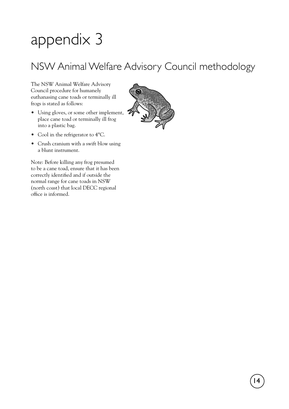# appendix 3

### NSW Animal Welfare Advisory Council methodology

The NSW Animal Welfare Advisory Council procedure for humanely euthanasing cane toads or terminally ill frogs is stated as follows:

- Using gloves, or some other implement, place cane toad or terminally ill frog into a plastic bag.
- Cool in the refrigerator to 4°C.
- Crush cranium with a swift blow using a blunt instrument.

Note: Before killing any frog presumed to be a cane toad, ensure that it has been correctly identified and if outside the normal range for cane toads in NSW (north coast) that local DECC regional office is informed.

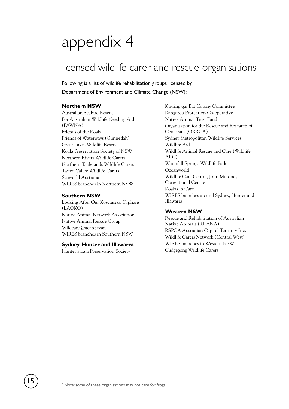### appendix 4

### licensed wildlife carer and rescue organisations

Following is a list of wildlife rehabilitation groups licensed by Department of Environment and Climate Change (NSW):

#### **Northern NSW**

Australian Seabird Rescue For Australian Wildlife Needing Aid (FAWNA) Friends of the Koala Friends of Waterways (Gunnedah) Great Lakes Wildlife Rescue Koala Preservation Society of NSW Northern Rivers Wildlife Carers Northern Tablelands Wildlife Carers Tweed Valley Wildlife Carers Seaworld Australia WIRES branches in Northern NSW

#### **Southern NSW**

Looking After Our Kosciuszko Orphans (LAOKO) Native Animal Network Association Native Animal Rescue Group Wildcare Queanbeyan WIRES branches in Southern NSW

#### **Sydney, Hunter and Illawarra**

Hunter Koala Preservation Society

Ku-ring-gai Bat Colony Committee Kangaroo Protection Co-operative Native Animal Trust Fund Organisation for the Rescue and Research of Cetaceans (ORRCA) Sydney Metropolitan Wildlife Services Wildlife Aid Wildlife Animal Rescue and Care (Wildlife ARC) Waterfall Springs Wildlife Park Oceanworld Wildlife Care Centre, John Moroney Correctional Centre Koalas in Care WIRES branches around Sydney, Hunter and Illawarra

#### **Western NSW**

Rescue and Rehabilitation of Australian Native Animals (RRANA) RSPCA Australian Capital Territory Inc. Wildlife Carers Network (Central West) WIRES branches in Western NSW Cudgegong Wildlife Carers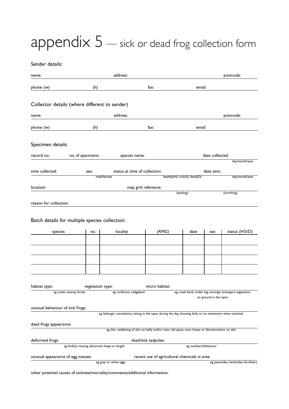### appendix 5 - sick or dead frog collection form

Sender details:

| name:                                                                                                                                                      |                                                                                             | address:                                                                                                   |                     |                                            |                 | postcode:      |  |  |  |
|------------------------------------------------------------------------------------------------------------------------------------------------------------|---------------------------------------------------------------------------------------------|------------------------------------------------------------------------------------------------------------|---------------------|--------------------------------------------|-----------------|----------------|--|--|--|
| phone: (w)                                                                                                                                                 | (h)                                                                                         |                                                                                                            | fax:                | email:                                     |                 |                |  |  |  |
| Collector details: (where different to sender)                                                                                                             |                                                                                             |                                                                                                            |                     |                                            |                 |                |  |  |  |
| name:                                                                                                                                                      |                                                                                             | address:                                                                                                   |                     |                                            |                 | postcode:      |  |  |  |
| phone: (w)                                                                                                                                                 | (h)                                                                                         |                                                                                                            | fa $x$ :            | email:                                     |                 |                |  |  |  |
| Specimen details:                                                                                                                                          |                                                                                             |                                                                                                            |                     |                                            |                 |                |  |  |  |
| record no:                                                                                                                                                 | no. of specimens:                                                                           | species name:                                                                                              |                     |                                            | date collected: |                |  |  |  |
|                                                                                                                                                            |                                                                                             |                                                                                                            |                     |                                            |                 | day/month/year |  |  |  |
| time collected:                                                                                                                                            | sex:<br>male/female                                                                         | status at time of collection:                                                                              |                     | date sent:<br>healthy(H)/ sick(S)/ dead(D) |                 | day/month/year |  |  |  |
|                                                                                                                                                            |                                                                                             |                                                                                                            |                     |                                            |                 |                |  |  |  |
| location:                                                                                                                                                  |                                                                                             |                                                                                                            | map grid reference: | (easting)                                  |                 | (northing)     |  |  |  |
| reason for collection:                                                                                                                                     |                                                                                             |                                                                                                            |                     |                                            |                 |                |  |  |  |
| Batch details for multiple species collection:<br>locality<br>(AMG)<br>status (H/S/D)<br>species<br>date<br>no.<br>sex                                     |                                                                                             |                                                                                                            |                     |                                            |                 |                |  |  |  |
|                                                                                                                                                            |                                                                                             |                                                                                                            |                     |                                            |                 |                |  |  |  |
|                                                                                                                                                            |                                                                                             |                                                                                                            |                     |                                            |                 |                |  |  |  |
|                                                                                                                                                            |                                                                                             |                                                                                                            |                     |                                            |                 |                |  |  |  |
|                                                                                                                                                            |                                                                                             |                                                                                                            |                     |                                            |                 |                |  |  |  |
|                                                                                                                                                            |                                                                                             |                                                                                                            |                     |                                            |                 |                |  |  |  |
| habitat type:                                                                                                                                              |                                                                                             |                                                                                                            | micro habitat:      |                                            |                 |                |  |  |  |
| vegetation type:<br>eg creek bank, under log, amongst emergent vegetation,<br>eg rainforest, sedgeland<br>eg creek, swamp, forest<br>on ground in the open |                                                                                             |                                                                                                            |                     |                                            |                 |                |  |  |  |
| unusual behaviour of sick frogs:                                                                                                                           |                                                                                             |                                                                                                            |                     |                                            |                 |                |  |  |  |
|                                                                                                                                                            |                                                                                             | eg lethargic, convulsions, sitting in the open during the day, showing little or no movement when touched. |                     |                                            |                 |                |  |  |  |
| dead frogs appearance:                                                                                                                                     |                                                                                             |                                                                                                            |                     |                                            |                 |                |  |  |  |
| eg thin, reddening of skin on belly and/or toes, red spots, sore, lumps or discolouration on skin                                                          |                                                                                             |                                                                                                            |                     |                                            |                 |                |  |  |  |
| deformed frogs:                                                                                                                                            | dead/sick tadpoles:<br>eg limb(s) missing, abnormal shape or length<br>eg numbers/behaviour |                                                                                                            |                     |                                            |                 |                |  |  |  |
| unusual appearance of egg masses:<br>recent use of agricultural chemicals in area:                                                                         |                                                                                             |                                                                                                            |                     |                                            |                 |                |  |  |  |
| eg grey or white eggs<br>eg pesticides, herbicides, fertilisers                                                                                            |                                                                                             |                                                                                                            |                     |                                            |                 |                |  |  |  |

other potential causes of sickness/mortality/comments/additional information: